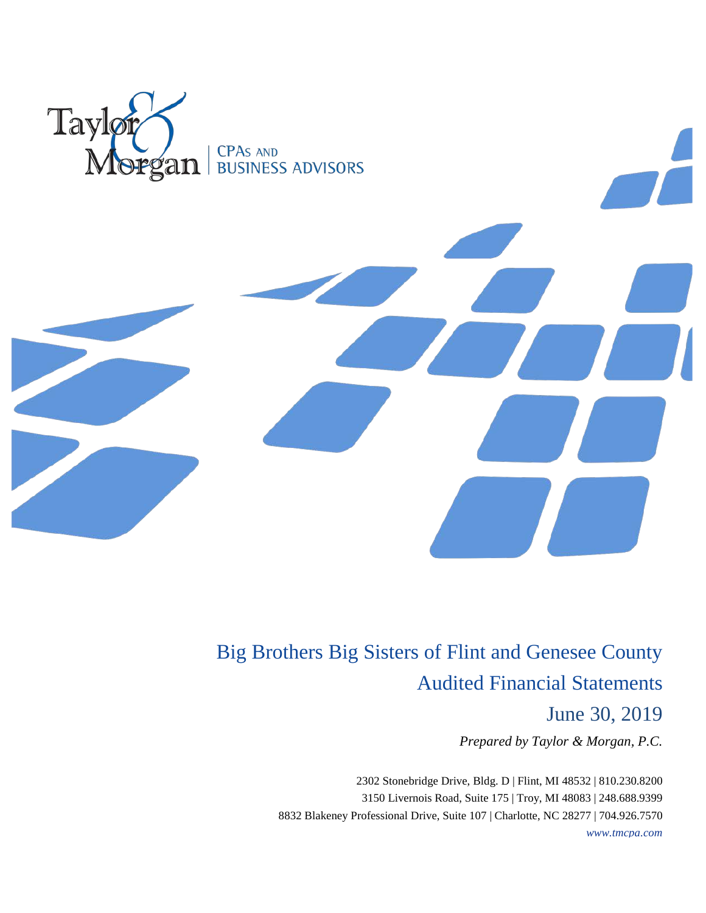

Big Brothers Big Sisters of Flint and Genesee County Audited Financial Statements

June 30, 2019

*Prepared by Taylor & Morgan, P.C.*

2302 Stonebridge Drive, Bldg. D | Flint, MI 48532 | 810.230.8200 3150 Livernois Road, Suite 175 | Troy, MI 48083 | 248.688.9399 8832 Blakeney Professional Drive, Suite 107 | Charlotte, NC 28277 | 704.926.7570 *www.tmcpa.com*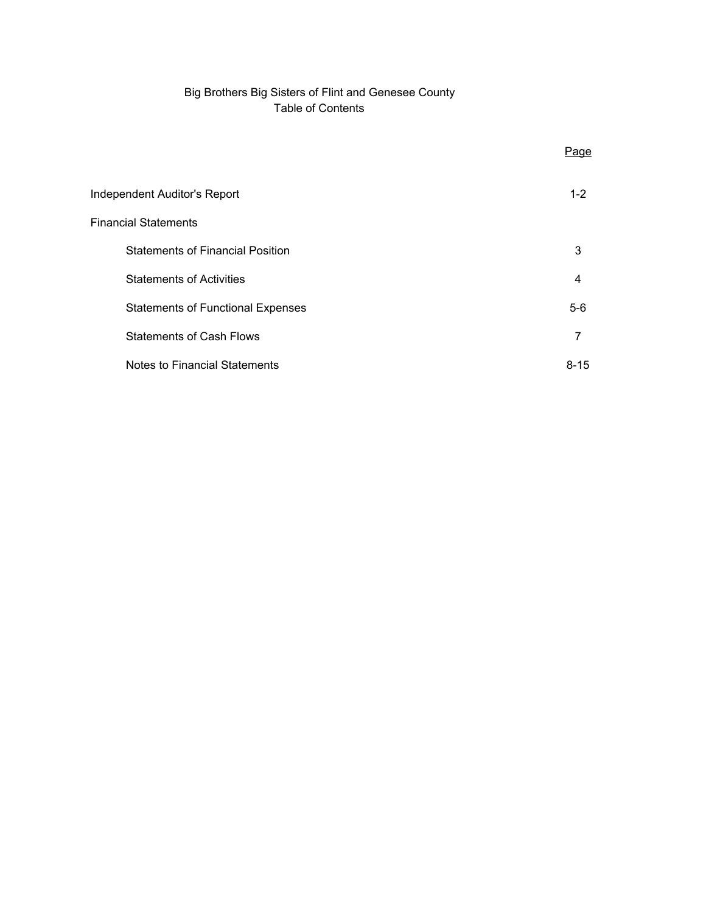# Big Brothers Big Sisters of Flint and Genesee County Table of Contents

|                                          | Page     |
|------------------------------------------|----------|
| Independent Auditor's Report             | $1 - 2$  |
| <b>Financial Statements</b>              |          |
| <b>Statements of Financial Position</b>  | 3        |
| <b>Statements of Activities</b>          | 4        |
| <b>Statements of Functional Expenses</b> | $5-6$    |
| <b>Statements of Cash Flows</b>          | 7        |
| Notes to Financial Statements            | $8 - 15$ |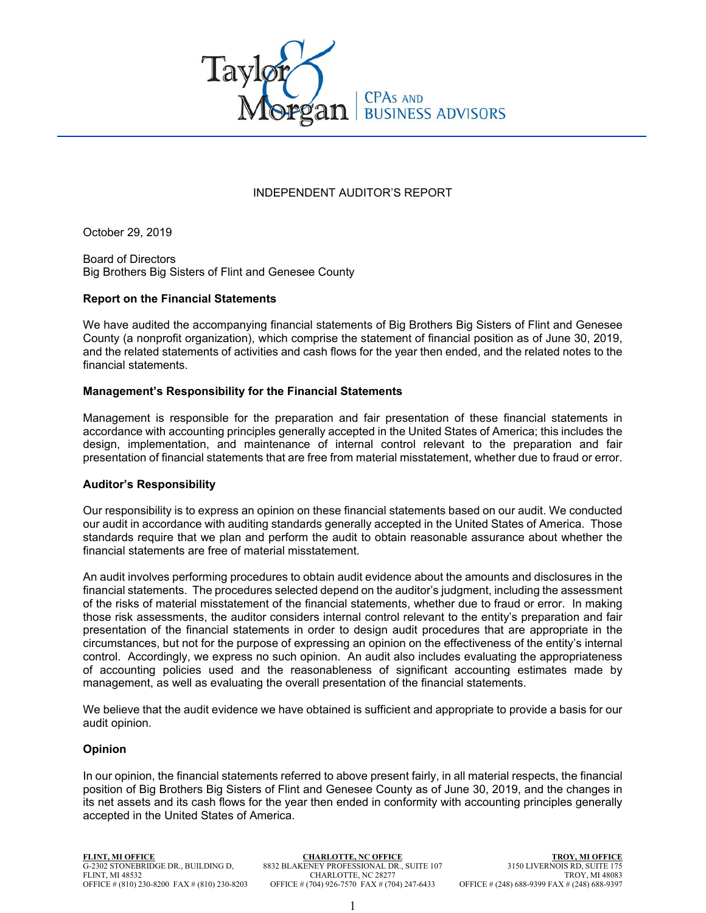

# INDEPENDENT AUDITOR'S REPORT

October 29, 2019

Board of Directors Big Brothers Big Sisters of Flint and Genesee County

# **Report on the Financial Statements**

We have audited the accompanying financial statements of Big Brothers Big Sisters of Flint and Genesee County (a nonprofit organization), which comprise the statement of financial position as of June 30, 2019, and the related statements of activities and cash flows for the year then ended, and the related notes to the financial statements.

## **Management's Responsibility for the Financial Statements**

Management is responsible for the preparation and fair presentation of these financial statements in accordance with accounting principles generally accepted in the United States of America; this includes the design, implementation, and maintenance of internal control relevant to the preparation and fair presentation of financial statements that are free from material misstatement, whether due to fraud or error.

## **Auditor's Responsibility**

Our responsibility is to express an opinion on these financial statements based on our audit. We conducted our audit in accordance with auditing standards generally accepted in the United States of America. Those standards require that we plan and perform the audit to obtain reasonable assurance about whether the financial statements are free of material misstatement.

An audit involves performing procedures to obtain audit evidence about the amounts and disclosures in the financial statements. The procedures selected depend on the auditor's judgment, including the assessment of the risks of material misstatement of the financial statements, whether due to fraud or error. In making those risk assessments, the auditor considers internal control relevant to the entity's preparation and fair presentation of the financial statements in order to design audit procedures that are appropriate in the circumstances, but not for the purpose of expressing an opinion on the effectiveness of the entity's internal control. Accordingly, we express no such opinion. An audit also includes evaluating the appropriateness of accounting policies used and the reasonableness of significant accounting estimates made by management, as well as evaluating the overall presentation of the financial statements.

We believe that the audit evidence we have obtained is sufficient and appropriate to provide a basis for our audit opinion.

## **Opinion**

In our opinion, the financial statements referred to above present fairly, in all material respects, the financial position of Big Brothers Big Sisters of Flint and Genesee County as of June 30, 2019, and the changes in its net assets and its cash flows for the year then ended in conformity with accounting principles generally accepted in the United States of America.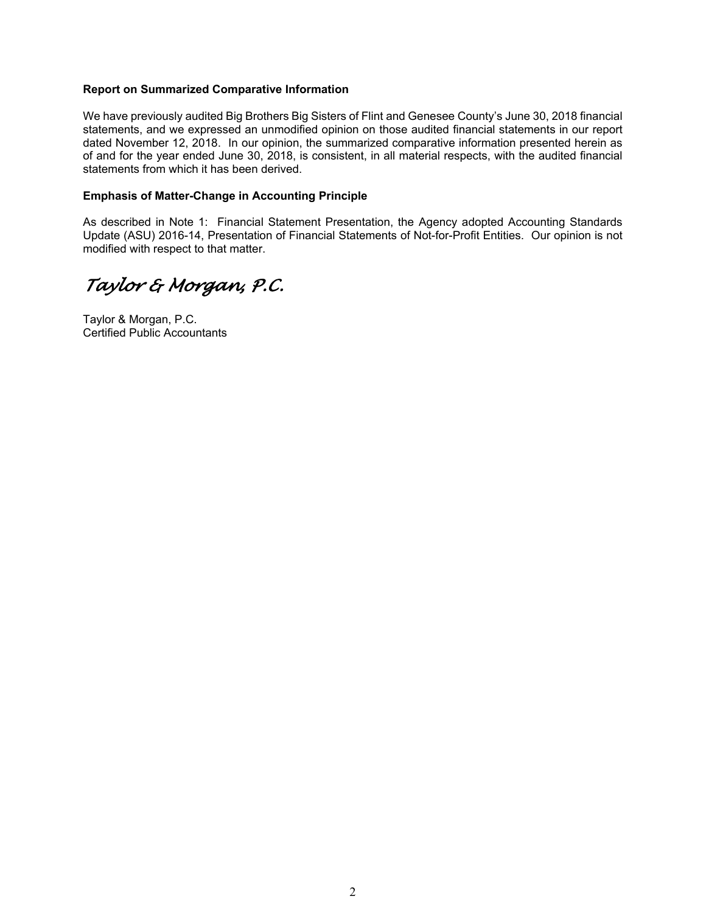# **Report on Summarized Comparative Information**

We have previously audited Big Brothers Big Sisters of Flint and Genesee County's June 30, 2018 financial statements, and we expressed an unmodified opinion on those audited financial statements in our report dated November 12, 2018. In our opinion, the summarized comparative information presented herein as of and for the year ended June 30, 2018, is consistent, in all material respects, with the audited financial statements from which it has been derived.

## **Emphasis of Matter-Change in Accounting Principle**

As described in Note 1: Financial Statement Presentation, the Agency adopted Accounting Standards Update (ASU) 2016-14, Presentation of Financial Statements of Not-for-Profit Entities. Our opinion is not modified with respect to that matter.

*Taylor & Morgan, P.C.* 

Taylor & Morgan, P.C. Certified Public Accountants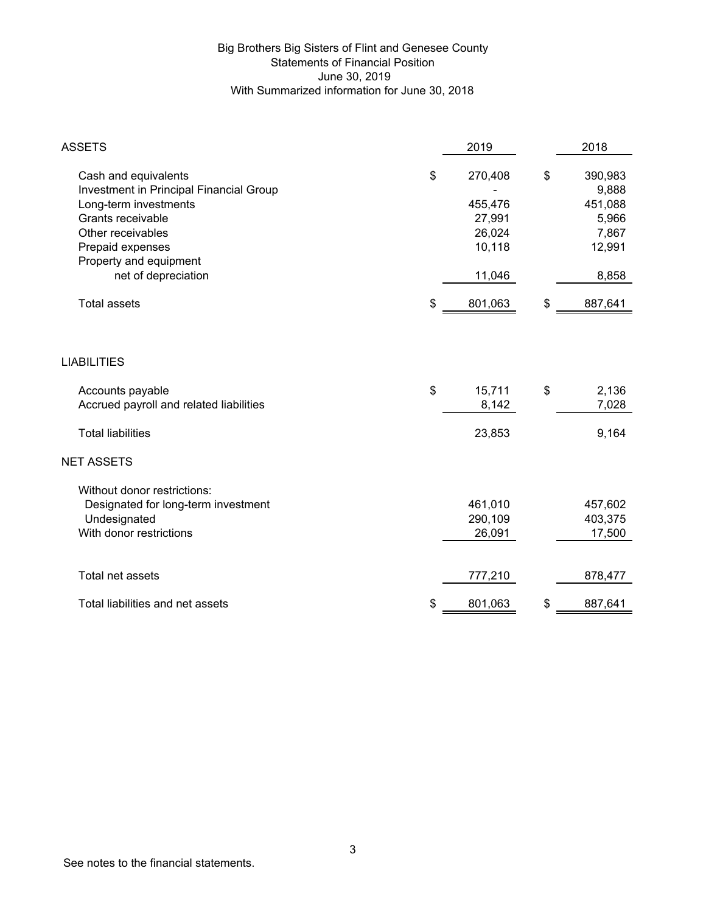# Big Brothers Big Sisters of Flint and Genesee County Statements of Financial Position June 30, 2019 With Summarized information for June 30, 2018

| <b>ASSETS</b>                                                                                                                                                                    | 2019                                                   | 2018                                                          |
|----------------------------------------------------------------------------------------------------------------------------------------------------------------------------------|--------------------------------------------------------|---------------------------------------------------------------|
| Cash and equivalents<br>Investment in Principal Financial Group<br>Long-term investments<br>Grants receivable<br>Other receivables<br>Prepaid expenses<br>Property and equipment | \$<br>270,408<br>455,476<br>27,991<br>26,024<br>10,118 | \$<br>390,983<br>9,888<br>451,088<br>5,966<br>7,867<br>12,991 |
| net of depreciation                                                                                                                                                              | 11,046                                                 | 8,858                                                         |
| <b>Total assets</b>                                                                                                                                                              | \$<br>801,063                                          | \$<br>887,641                                                 |
| <b>LIABILITIES</b>                                                                                                                                                               |                                                        |                                                               |
| Accounts payable<br>Accrued payroll and related liabilities                                                                                                                      | \$<br>15,711<br>8,142                                  | \$<br>2,136<br>7,028                                          |
| <b>Total liabilities</b>                                                                                                                                                         | 23,853                                                 | 9,164                                                         |
| <b>NET ASSETS</b>                                                                                                                                                                |                                                        |                                                               |
| Without donor restrictions:<br>Designated for long-term investment<br>Undesignated<br>With donor restrictions                                                                    | 461,010<br>290,109<br>26,091                           | 457,602<br>403,375<br>17,500                                  |
| Total net assets                                                                                                                                                                 | 777,210                                                | 878,477                                                       |
| Total liabilities and net assets                                                                                                                                                 | \$<br>801,063                                          | \$<br>887,641                                                 |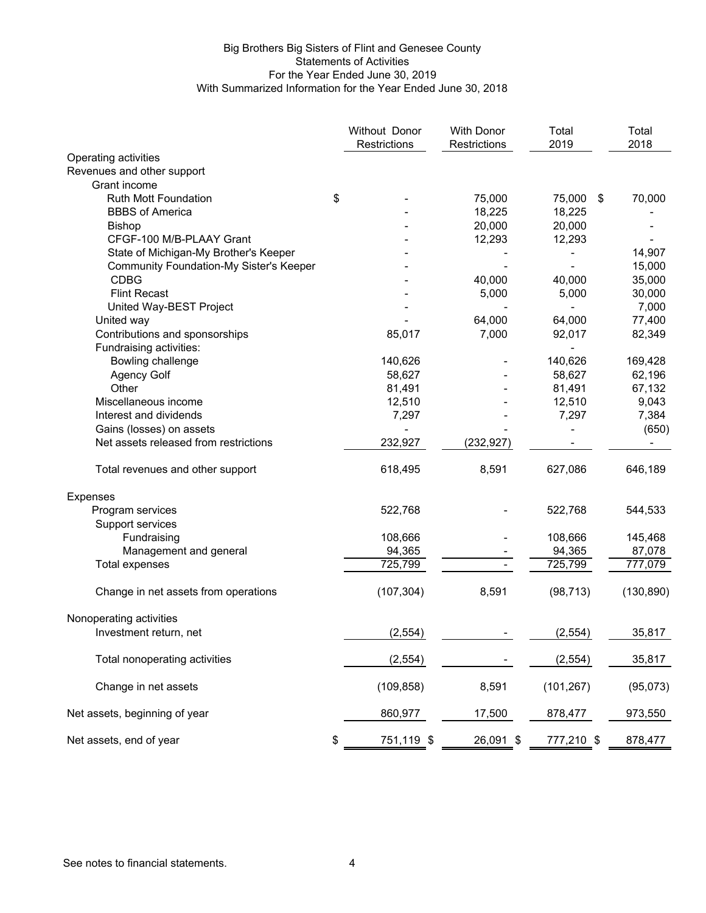# Big Brothers Big Sisters of Flint and Genesee County Statements of Activities For the Year Ended June 30, 2019 With Summarized Information for the Year Ended June 30, 2018

|                                                | Without Donor<br>Restrictions | <b>With Donor</b><br>Restrictions | Total<br>2019  | Total<br>2018 |
|------------------------------------------------|-------------------------------|-----------------------------------|----------------|---------------|
| Operating activities                           |                               |                                   |                |               |
| Revenues and other support                     |                               |                                   |                |               |
| Grant income                                   |                               |                                   |                |               |
| <b>Ruth Mott Foundation</b>                    | \$                            | 75,000                            | 75,000<br>-\$  | 70,000        |
| <b>BBBS</b> of America                         |                               | 18,225                            | 18,225         |               |
| <b>Bishop</b>                                  |                               | 20,000                            | 20,000         |               |
| CFGF-100 M/B-PLAAY Grant                       |                               | 12,293                            | 12,293         |               |
| State of Michigan-My Brother's Keeper          |                               |                                   |                | 14,907        |
| <b>Community Foundation-My Sister's Keeper</b> |                               |                                   |                | 15,000        |
| <b>CDBG</b>                                    |                               | 40,000                            | 40,000         | 35,000        |
| <b>Flint Recast</b>                            |                               | 5,000                             | 5,000          | 30,000        |
| United Way-BEST Project                        |                               |                                   | $\blacksquare$ | 7,000         |
| United way                                     |                               | 64,000                            | 64,000         | 77,400        |
| Contributions and sponsorships                 | 85,017                        | 7,000                             | 92,017         | 82,349        |
| Fundraising activities:                        |                               |                                   |                |               |
| Bowling challenge                              | 140,626                       | $\overline{\phantom{a}}$          | 140,626        | 169,428       |
| <b>Agency Golf</b>                             | 58,627                        |                                   | 58,627         | 62,196        |
| Other                                          | 81,491                        |                                   | 81,491         | 67,132        |
| Miscellaneous income                           | 12,510                        |                                   | 12,510         | 9,043         |
| Interest and dividends                         | 7,297                         |                                   | 7,297          | 7,384         |
| Gains (losses) on assets                       |                               |                                   |                | (650)         |
| Net assets released from restrictions          | 232,927                       | (232, 927)                        |                |               |
| Total revenues and other support               | 618,495                       | 8,591                             | 627,086        | 646,189       |
| <b>Expenses</b>                                |                               |                                   |                |               |
| Program services                               | 522,768                       |                                   | 522,768        | 544,533       |
| Support services                               |                               |                                   |                |               |
| Fundraising                                    | 108,666                       |                                   | 108,666        | 145,468       |
| Management and general                         | 94,365                        |                                   | 94,365         | 87,078        |
| <b>Total expenses</b>                          | 725,799                       |                                   | 725,799        | 777,079       |
| Change in net assets from operations           | (107, 304)                    | 8,591                             | (98, 713)      | (130, 890)    |
| Nonoperating activities                        |                               |                                   |                |               |
| Investment return, net                         | (2, 554)                      |                                   | (2, 554)       | 35,817        |
| Total nonoperating activities                  | (2, 554)                      |                                   | (2, 554)       | 35,817        |
| Change in net assets                           | (109, 858)                    | 8,591                             | (101, 267)     | (95,073)      |
| Net assets, beginning of year                  | 860,977                       | 17,500                            | 878,477        | 973,550       |
| Net assets, end of year                        | \$<br>751,119 \$              | $26,091$ \$                       | 777,210 \$     | 878,477       |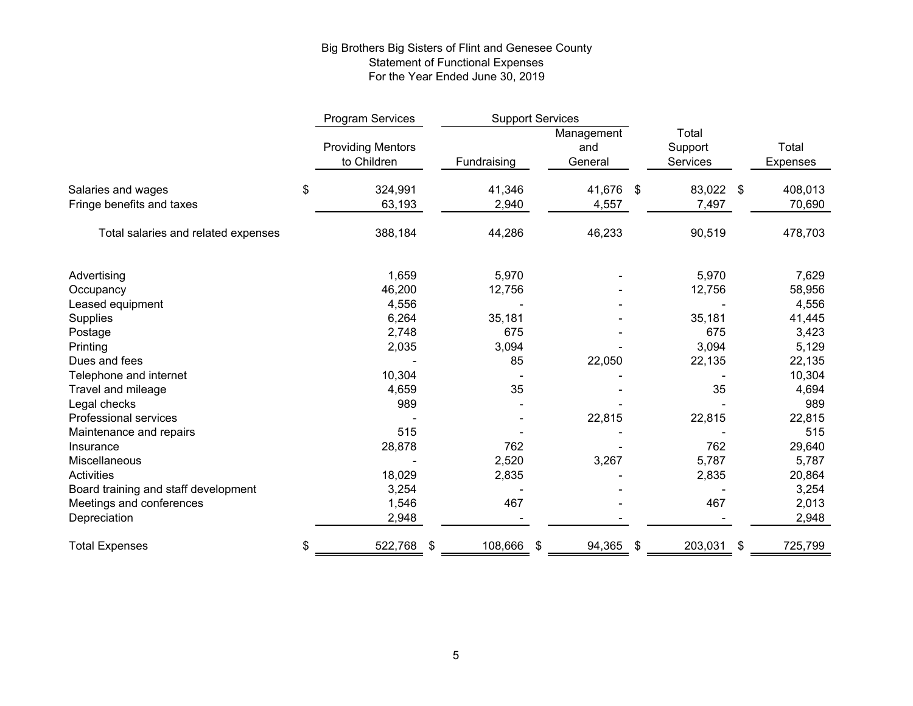# Big Brothers Big Sisters of Flint and Genesee County Statement of Functional Expenses For the Year Ended June 30, 2019

|                                                 | Program Services                        |                 | <b>Support Services</b>      |                              |                          |
|-------------------------------------------------|-----------------------------------------|-----------------|------------------------------|------------------------------|--------------------------|
|                                                 | <b>Providing Mentors</b><br>to Children | Fundraising     | Management<br>and<br>General | Total<br>Support<br>Services | Total<br><b>Expenses</b> |
| Salaries and wages<br>Fringe benefits and taxes | \$<br>324,991<br>63,193                 | 41,346<br>2,940 | 41,676 \$<br>4,557           | 83,022 \$<br>7,497           | 408,013<br>70,690        |
| Total salaries and related expenses             | 388,184                                 | 44,286          | 46,233                       | 90,519                       | 478,703                  |
| Advertising                                     | 1,659                                   | 5,970           |                              | 5,970                        | 7,629                    |
| Occupancy                                       | 46,200                                  | 12,756          |                              | 12,756                       | 58,956                   |
| Leased equipment                                | 4,556                                   |                 |                              |                              | 4,556                    |
| Supplies                                        | 6,264                                   | 35,181          |                              | 35,181                       | 41,445                   |
| Postage                                         | 2,748                                   | 675             |                              | 675                          | 3,423                    |
| Printing                                        | 2,035                                   | 3,094           |                              | 3,094                        | 5,129                    |
| Dues and fees                                   |                                         | 85              | 22,050                       | 22,135                       | 22,135                   |
| Telephone and internet                          | 10,304                                  |                 |                              |                              | 10,304                   |
| Travel and mileage                              | 4,659                                   | 35              |                              | 35                           | 4,694                    |
| Legal checks                                    | 989                                     |                 |                              |                              | 989                      |
| <b>Professional services</b>                    |                                         |                 | 22,815                       | 22,815                       | 22,815                   |
| Maintenance and repairs                         | 515                                     |                 |                              |                              | 515                      |
| Insurance                                       | 28,878                                  | 762             |                              | 762                          | 29,640                   |
| Miscellaneous                                   |                                         | 2,520           | 3,267                        | 5,787                        | 5,787                    |
| Activities                                      | 18,029                                  | 2,835           |                              | 2,835                        | 20,864                   |
| Board training and staff development            | 3,254                                   |                 |                              |                              | 3,254                    |
| Meetings and conferences                        | 1,546                                   | 467             |                              | 467                          | 2,013                    |
| Depreciation                                    | 2,948                                   |                 |                              |                              | 2,948                    |
| <b>Total Expenses</b>                           | 522,768<br>\$                           | 108,666<br>-\$  | 94,365<br>\$                 | 203,031<br>\$                | 725,799<br>\$            |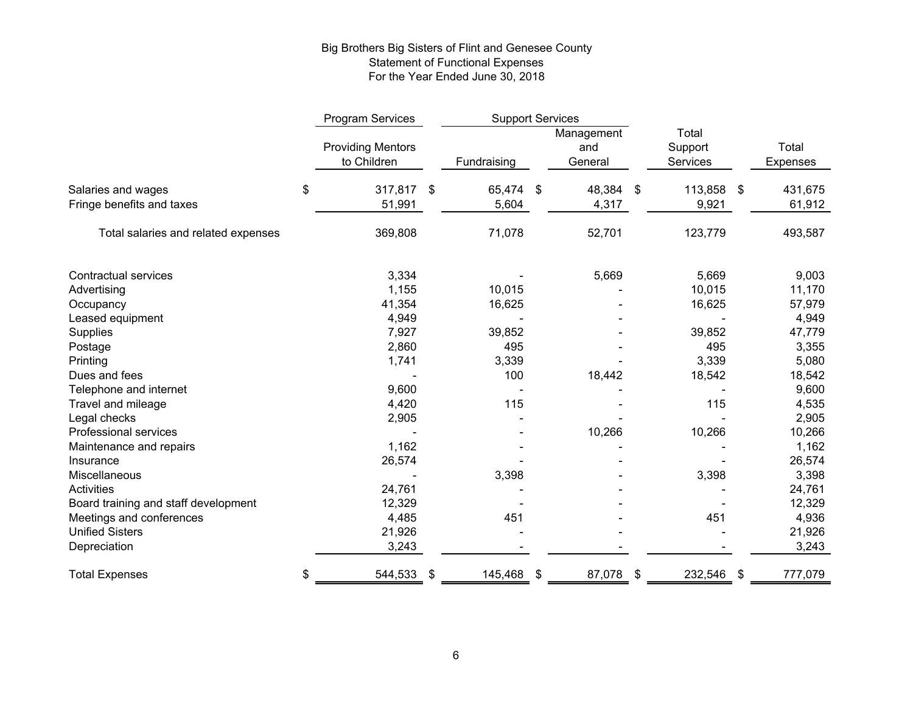# Big Brothers Big Sisters of Flint and Genesee County Statement of Functional Expenses For the Year Ended June 30, 2018

|                                      | Program Services                        | <b>Support Services</b> |    |                              |                              |    |                          |
|--------------------------------------|-----------------------------------------|-------------------------|----|------------------------------|------------------------------|----|--------------------------|
|                                      | <b>Providing Mentors</b><br>to Children | Fundraising             |    | Management<br>and<br>General | Total<br>Support<br>Services |    | Total<br><b>Expenses</b> |
| Salaries and wages                   | \$<br>317,817                           | \$<br>65,474            | \$ | 48,384 \$                    | 113,858 \$                   |    | 431,675                  |
| Fringe benefits and taxes            | 51,991                                  | 5,604                   |    | 4,317                        | 9,921                        |    | 61,912                   |
| Total salaries and related expenses  | 369,808                                 | 71,078                  |    | 52,701                       | 123,779                      |    | 493,587                  |
| <b>Contractual services</b>          | 3,334                                   |                         |    | 5,669                        | 5,669                        |    | 9,003                    |
| Advertising                          | 1,155                                   | 10,015                  |    |                              | 10,015                       |    | 11,170                   |
| Occupancy                            | 41,354                                  | 16,625                  |    |                              | 16,625                       |    | 57,979                   |
| Leased equipment                     | 4,949                                   |                         |    |                              |                              |    | 4,949                    |
| Supplies                             | 7,927                                   | 39,852                  |    |                              | 39,852                       |    | 47,779                   |
| Postage                              | 2,860                                   | 495                     |    |                              | 495                          |    | 3,355                    |
| Printing                             | 1,741                                   | 3,339                   |    |                              | 3,339                        |    | 5,080                    |
| Dues and fees                        |                                         | 100                     |    | 18,442                       | 18,542                       |    | 18,542                   |
| Telephone and internet               | 9,600                                   |                         |    |                              |                              |    | 9,600                    |
| Travel and mileage                   | 4,420                                   | 115                     |    |                              | 115                          |    | 4,535                    |
| Legal checks                         | 2,905                                   |                         |    |                              |                              |    | 2,905                    |
| Professional services                |                                         |                         |    | 10,266                       | 10,266                       |    | 10,266                   |
| Maintenance and repairs              | 1,162                                   |                         |    |                              |                              |    | 1,162                    |
| Insurance                            | 26,574                                  |                         |    |                              |                              |    | 26,574                   |
| Miscellaneous                        |                                         | 3,398                   |    |                              | 3,398                        |    | 3,398                    |
| Activities                           | 24,761                                  |                         |    |                              |                              |    | 24,761                   |
| Board training and staff development | 12,329                                  |                         |    |                              |                              |    | 12,329                   |
| Meetings and conferences             | 4,485                                   | 451                     |    |                              | 451                          |    | 4,936                    |
| <b>Unified Sisters</b>               | 21,926                                  |                         |    |                              |                              |    | 21,926                   |
| Depreciation                         | 3,243                                   |                         |    |                              |                              |    | 3,243                    |
| <b>Total Expenses</b>                | \$<br>544,533                           | \$<br>145,468 \$        |    | 87,078                       | \$<br>232,546                | \$ | 777,079                  |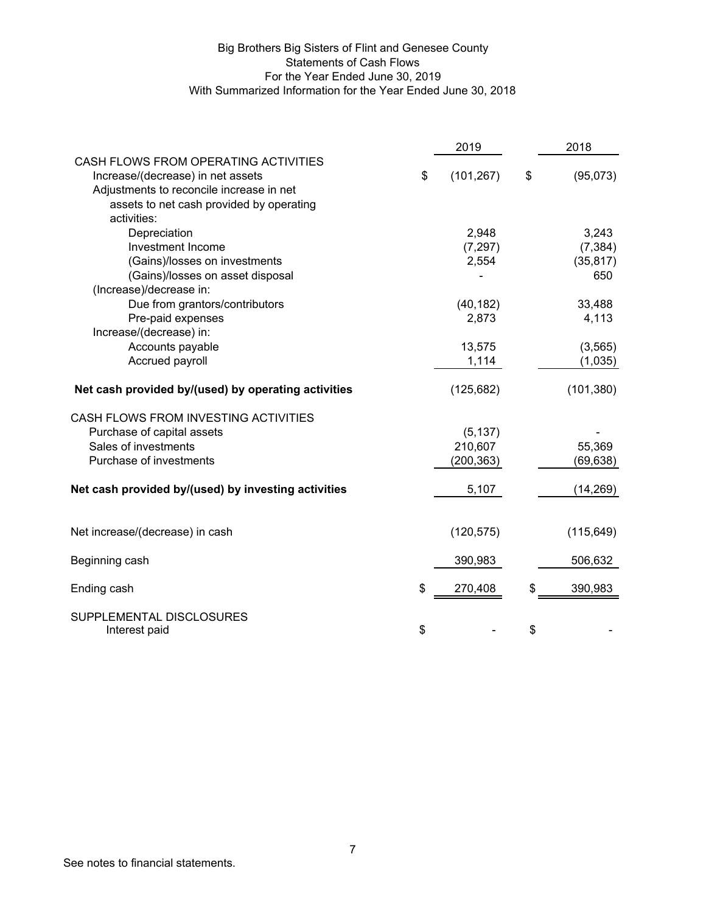# Big Brothers Big Sisters of Flint and Genesee County Statements of Cash Flows For the Year Ended June 30, 2019 With Summarized Information for the Year Ended June 30, 2018

|                                                                           | 2019             | 2018           |
|---------------------------------------------------------------------------|------------------|----------------|
| CASH FLOWS FROM OPERATING ACTIVITIES<br>Increase/(decrease) in net assets | \$<br>(101, 267) | \$<br>(95,073) |
| Adjustments to reconcile increase in net                                  |                  |                |
| assets to net cash provided by operating                                  |                  |                |
| activities:                                                               |                  |                |
| Depreciation                                                              | 2,948            | 3,243          |
| Investment Income                                                         | (7, 297)         | (7, 384)       |
| (Gains)/losses on investments                                             | 2,554            | (35, 817)      |
| (Gains)/losses on asset disposal                                          |                  | 650            |
| (Increase)/decrease in:                                                   |                  |                |
| Due from grantors/contributors                                            | (40, 182)        | 33,488         |
| Pre-paid expenses                                                         | 2,873            | 4,113          |
| Increase/(decrease) in:                                                   |                  |                |
| Accounts payable                                                          | 13,575           | (3, 565)       |
| Accrued payroll                                                           | 1,114            | (1,035)        |
| Net cash provided by/(used) by operating activities                       | (125, 682)       | (101, 380)     |
| CASH FLOWS FROM INVESTING ACTIVITIES                                      |                  |                |
| Purchase of capital assets                                                | (5, 137)         |                |
| Sales of investments                                                      | 210,607          | 55,369         |
| Purchase of investments                                                   | (200, 363)       | (69, 638)      |
| Net cash provided by/(used) by investing activities                       | 5,107            | (14, 269)      |
| Net increase/(decrease) in cash                                           | (120, 575)       | (115, 649)     |
| Beginning cash                                                            | 390,983          | 506,632        |
| Ending cash                                                               | \$<br>270,408    | 390,983        |
| SUPPLEMENTAL DISCLOSURES<br>Interest paid                                 | \$               | \$             |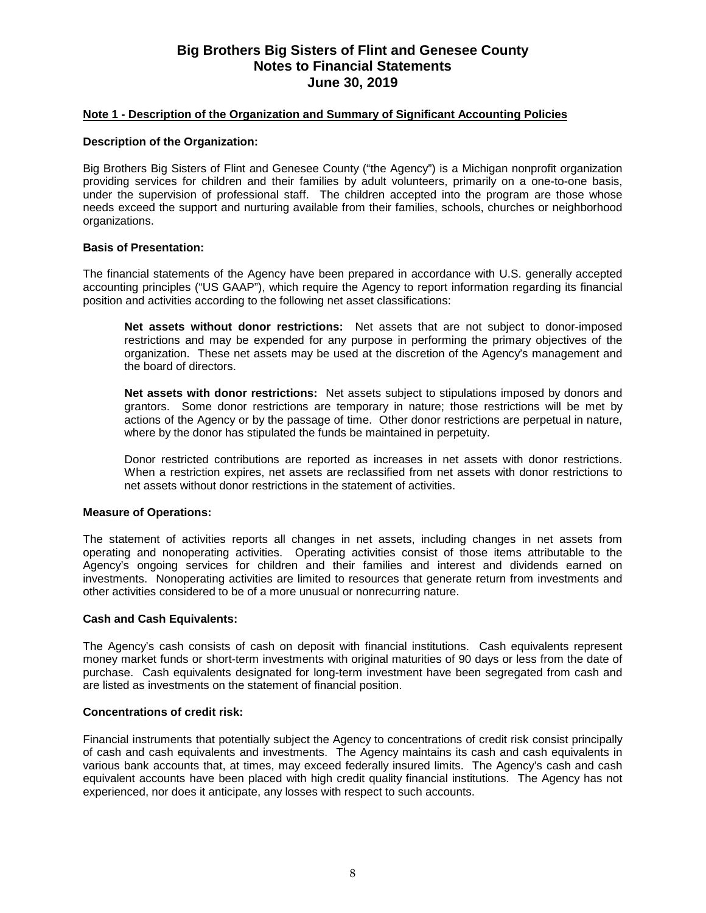## **Note 1 - Description of the Organization and Summary of Significant Accounting Policies**

#### **Description of the Organization:**

Big Brothers Big Sisters of Flint and Genesee County ("the Agency") is a Michigan nonprofit organization providing services for children and their families by adult volunteers, primarily on a one-to-one basis, under the supervision of professional staff. The children accepted into the program are those whose needs exceed the support and nurturing available from their families, schools, churches or neighborhood organizations.

## **Basis of Presentation:**

The financial statements of the Agency have been prepared in accordance with U.S. generally accepted accounting principles ("US GAAP"), which require the Agency to report information regarding its financial position and activities according to the following net asset classifications:

**Net assets without donor restrictions:** Net assets that are not subject to donor-imposed restrictions and may be expended for any purpose in performing the primary objectives of the organization. These net assets may be used at the discretion of the Agency's management and the board of directors.

**Net assets with donor restrictions:** Net assets subject to stipulations imposed by donors and grantors. Some donor restrictions are temporary in nature; those restrictions will be met by actions of the Agency or by the passage of time. Other donor restrictions are perpetual in nature, where by the donor has stipulated the funds be maintained in perpetuity.

Donor restricted contributions are reported as increases in net assets with donor restrictions. When a restriction expires, net assets are reclassified from net assets with donor restrictions to net assets without donor restrictions in the statement of activities.

#### **Measure of Operations:**

The statement of activities reports all changes in net assets, including changes in net assets from operating and nonoperating activities. Operating activities consist of those items attributable to the Agency's ongoing services for children and their families and interest and dividends earned on investments. Nonoperating activities are limited to resources that generate return from investments and other activities considered to be of a more unusual or nonrecurring nature.

#### **Cash and Cash Equivalents:**

The Agency's cash consists of cash on deposit with financial institutions. Cash equivalents represent money market funds or short-term investments with original maturities of 90 days or less from the date of purchase. Cash equivalents designated for long-term investment have been segregated from cash and are listed as investments on the statement of financial position.

#### **Concentrations of credit risk:**

Financial instruments that potentially subject the Agency to concentrations of credit risk consist principally of cash and cash equivalents and investments. The Agency maintains its cash and cash equivalents in various bank accounts that, at times, may exceed federally insured limits. The Agency's cash and cash equivalent accounts have been placed with high credit quality financial institutions. The Agency has not experienced, nor does it anticipate, any losses with respect to such accounts.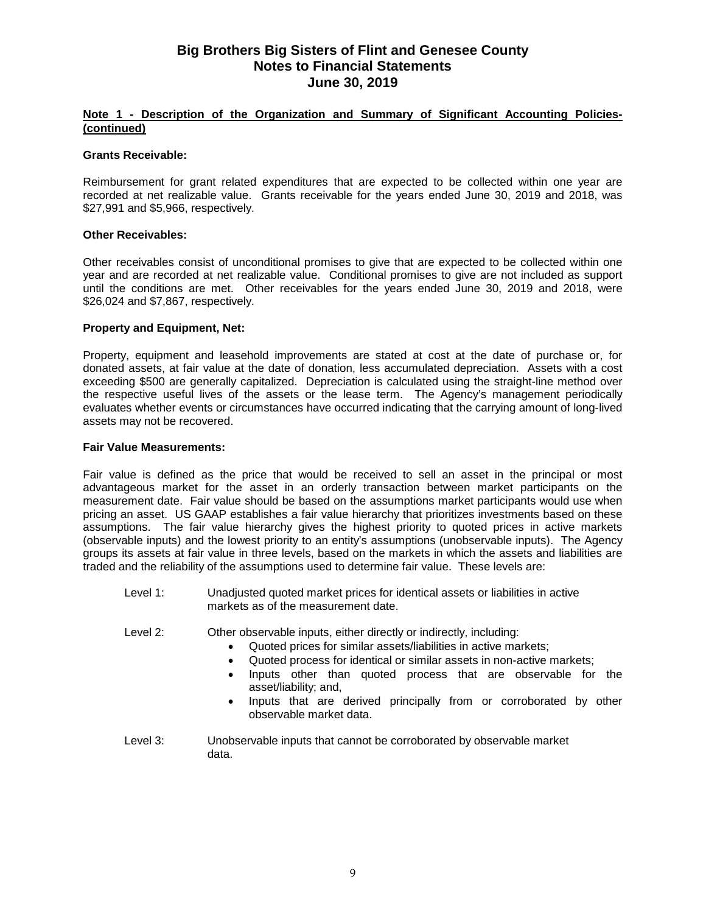# **Note 1 - Description of the Organization and Summary of Significant Accounting Policies- (continued)**

#### **Grants Receivable:**

Reimbursement for grant related expenditures that are expected to be collected within one year are recorded at net realizable value. Grants receivable for the years ended June 30, 2019 and 2018, was \$27,991 and \$5,966, respectively.

#### **Other Receivables:**

Other receivables consist of unconditional promises to give that are expected to be collected within one year and are recorded at net realizable value. Conditional promises to give are not included as support until the conditions are met. Other receivables for the years ended June 30, 2019 and 2018, were \$26,024 and \$7,867, respectively.

#### **Property and Equipment, Net:**

Property, equipment and leasehold improvements are stated at cost at the date of purchase or, for donated assets, at fair value at the date of donation, less accumulated depreciation. Assets with a cost exceeding \$500 are generally capitalized. Depreciation is calculated using the straight-line method over the respective useful lives of the assets or the lease term. The Agency's management periodically evaluates whether events or circumstances have occurred indicating that the carrying amount of long-lived assets may not be recovered.

#### **Fair Value Measurements:**

Fair value is defined as the price that would be received to sell an asset in the principal or most advantageous market for the asset in an orderly transaction between market participants on the measurement date. Fair value should be based on the assumptions market participants would use when pricing an asset. US GAAP establishes a fair value hierarchy that prioritizes investments based on these assumptions. The fair value hierarchy gives the highest priority to quoted prices in active markets (observable inputs) and the lowest priority to an entity's assumptions (unobservable inputs). The Agency groups its assets at fair value in three levels, based on the markets in which the assets and liabilities are traded and the reliability of the assumptions used to determine fair value. These levels are:

Level 1: Unadjusted quoted market prices for identical assets or liabilities in active markets as of the measurement date.

Level 2: Other observable inputs, either directly or indirectly, including:

- Quoted prices for similar assets/liabilities in active markets;
- Quoted process for identical or similar assets in non-active markets;<br>• Inputs other than quoted process that are observable for
- Inputs other than quoted process that are observable for the asset/liability; and,
- Inputs that are derived principally from or corroborated by other observable market data.
- Level 3: Unobservable inputs that cannot be corroborated by observable market data.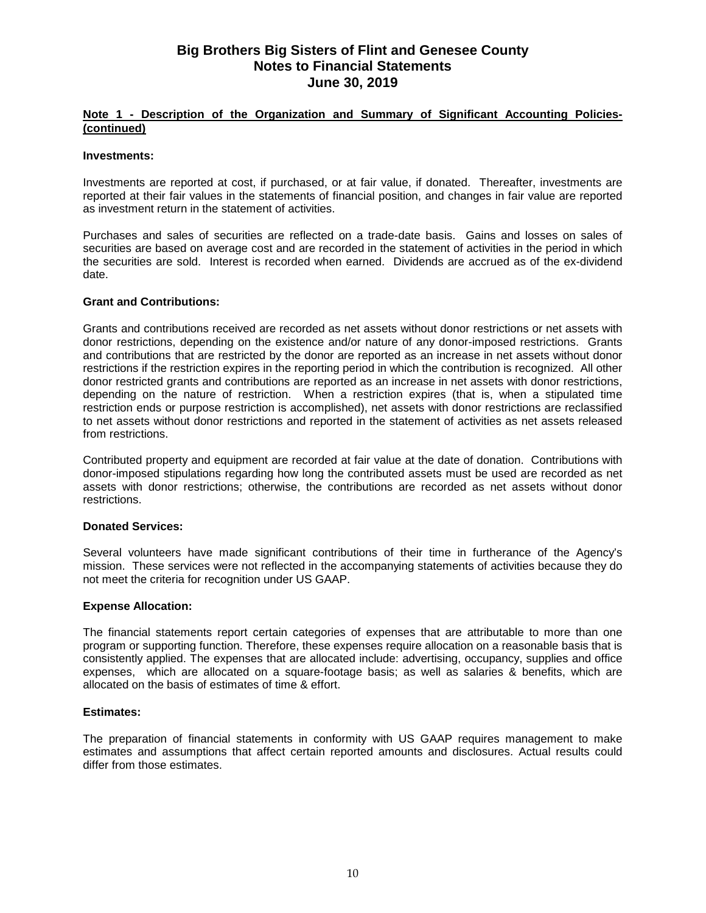# **Note 1 - Description of the Organization and Summary of Significant Accounting Policies- (continued)**

#### **Investments:**

Investments are reported at cost, if purchased, or at fair value, if donated. Thereafter, investments are reported at their fair values in the statements of financial position, and changes in fair value are reported as investment return in the statement of activities.

Purchases and sales of securities are reflected on a trade-date basis. Gains and losses on sales of securities are based on average cost and are recorded in the statement of activities in the period in which the securities are sold. Interest is recorded when earned. Dividends are accrued as of the ex-dividend date.

#### **Grant and Contributions:**

Grants and contributions received are recorded as net assets without donor restrictions or net assets with donor restrictions, depending on the existence and/or nature of any donor-imposed restrictions. Grants and contributions that are restricted by the donor are reported as an increase in net assets without donor restrictions if the restriction expires in the reporting period in which the contribution is recognized. All other donor restricted grants and contributions are reported as an increase in net assets with donor restrictions, depending on the nature of restriction. When a restriction expires (that is, when a stipulated time restriction ends or purpose restriction is accomplished), net assets with donor restrictions are reclassified to net assets without donor restrictions and reported in the statement of activities as net assets released from restrictions.

Contributed property and equipment are recorded at fair value at the date of donation. Contributions with donor-imposed stipulations regarding how long the contributed assets must be used are recorded as net assets with donor restrictions; otherwise, the contributions are recorded as net assets without donor restrictions.

## **Donated Services:**

Several volunteers have made significant contributions of their time in furtherance of the Agency's mission. These services were not reflected in the accompanying statements of activities because they do not meet the criteria for recognition under US GAAP.

## **Expense Allocation:**

The financial statements report certain categories of expenses that are attributable to more than one program or supporting function. Therefore, these expenses require allocation on a reasonable basis that is consistently applied. The expenses that are allocated include: advertising, occupancy, supplies and office expenses, which are allocated on a square-footage basis; as well as salaries & benefits, which are allocated on the basis of estimates of time & effort.

## **Estimates:**

The preparation of financial statements in conformity with US GAAP requires management to make estimates and assumptions that affect certain reported amounts and disclosures. Actual results could differ from those estimates.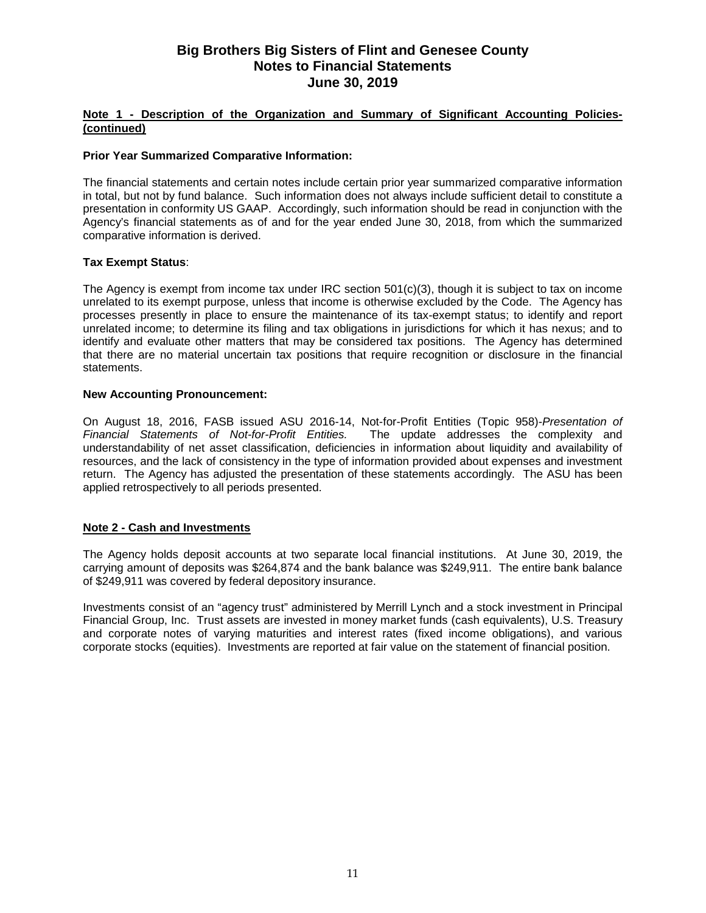# **Note 1 - Description of the Organization and Summary of Significant Accounting Policies- (continued)**

# **Prior Year Summarized Comparative Information:**

The financial statements and certain notes include certain prior year summarized comparative information in total, but not by fund balance. Such information does not always include sufficient detail to constitute a presentation in conformity US GAAP. Accordingly, such information should be read in conjunction with the Agency's financial statements as of and for the year ended June 30, 2018, from which the summarized comparative information is derived.

## **Tax Exempt Status**:

The Agency is exempt from income tax under IRC section 501(c)(3), though it is subject to tax on income unrelated to its exempt purpose, unless that income is otherwise excluded by the Code. The Agency has processes presently in place to ensure the maintenance of its tax-exempt status; to identify and report unrelated income; to determine its filing and tax obligations in jurisdictions for which it has nexus; and to identify and evaluate other matters that may be considered tax positions. The Agency has determined that there are no material uncertain tax positions that require recognition or disclosure in the financial statements.

## **New Accounting Pronouncement:**

On August 18, 2016, FASB issued ASU 2016-14, Not-for-Profit Entities (Topic 958)-*Presentation of Financial Statements of Not-for-Profit Entities.* The update addresses the complexity and understandability of net asset classification, deficiencies in information about liquidity and availability of resources, and the lack of consistency in the type of information provided about expenses and investment return. The Agency has adjusted the presentation of these statements accordingly. The ASU has been applied retrospectively to all periods presented.

## **Note 2 - Cash and Investments**

The Agency holds deposit accounts at two separate local financial institutions. At June 30, 2019, the carrying amount of deposits was \$264,874 and the bank balance was \$249,911. The entire bank balance of \$249,911 was covered by federal depository insurance.

Investments consist of an "agency trust" administered by Merrill Lynch and a stock investment in Principal Financial Group, Inc. Trust assets are invested in money market funds (cash equivalents), U.S. Treasury and corporate notes of varying maturities and interest rates (fixed income obligations), and various corporate stocks (equities). Investments are reported at fair value on the statement of financial position.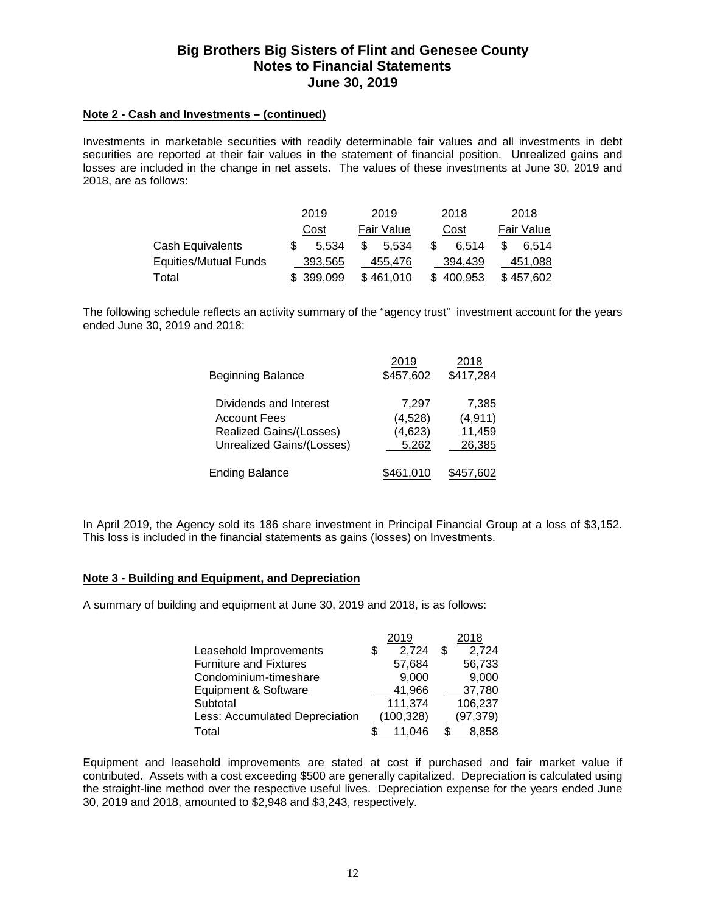# **Note 2 - Cash and Investments – (continued)**

Investments in marketable securities with readily determinable fair values and all investments in debt securities are reported at their fair values in the statement of financial position. Unrealized gains and losses are included in the change in net assets. The values of these investments at June 30, 2019 and 2018, are as follows:

|                       | 2019 |           | 2019 |            | 2018 |         |     | 2018       |
|-----------------------|------|-----------|------|------------|------|---------|-----|------------|
|                       |      | Cost      |      | Fair Value |      | Cost    |     | Fair Value |
| Cash Equivalents      |      | 5.534     | \$.  | 5.534      | \$   | 6.514   | \$. | 6.514      |
| Equities/Mutual Funds |      | 393.565   |      | 455.476    |      | 394.439 |     | 451.088    |
| Total                 |      | \$399.099 |      | \$461.010  |      | 400.953 |     | \$457.602  |

The following schedule reflects an activity summary of the "agency trust" investment account for the years ended June 30, 2019 and 2018:

| <b>Beginning Balance</b>                                                                              | 2019<br>\$457,602                    | 2018<br>\$417,284                     |
|-------------------------------------------------------------------------------------------------------|--------------------------------------|---------------------------------------|
| Dividends and Interest<br><b>Account Fees</b><br>Realized Gains/(Losses)<br>Unrealized Gains/(Losses) | 7,297<br>(4,528)<br>(4,623)<br>5,262 | 7.385<br>(4, 911)<br>11,459<br>26,385 |
| <b>Ending Balance</b>                                                                                 |                                      |                                       |

In April 2019, the Agency sold its 186 share investment in Principal Financial Group at a loss of \$3,152. This loss is included in the financial statements as gains (losses) on Investments.

#### **Note 3 - Building and Equipment, and Depreciation**

A summary of building and equipment at June 30, 2019 and 2018, is as follows:

|                                | 2019       | 2018         |
|--------------------------------|------------|--------------|
| Leasehold Improvements         | 2,724<br>S | 2,724<br>\$. |
| <b>Furniture and Fixtures</b>  | 57,684     | 56,733       |
| Condominium-timeshare          | 9,000      | 9,000        |
| Equipment & Software           | 41,966     | 37,780       |
| Subtotal                       | 111,374    | 106,237      |
| Less: Accumulated Depreciation | (100, 328) | (97, 379)    |
| Total                          |            | 8.858        |

Equipment and leasehold improvements are stated at cost if purchased and fair market value if contributed. Assets with a cost exceeding \$500 are generally capitalized. Depreciation is calculated using the straight-line method over the respective useful lives. Depreciation expense for the years ended June 30, 2019 and 2018, amounted to \$2,948 and \$3,243, respectively.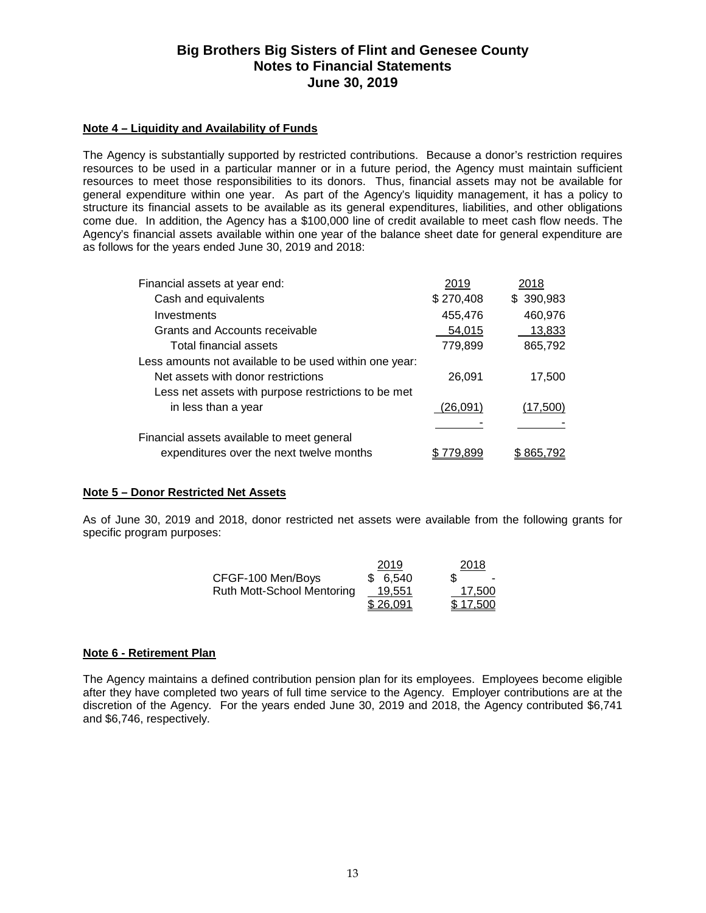# **Note 4 – Liquidity and Availability of Funds**

The Agency is substantially supported by restricted contributions. Because a donor's restriction requires resources to be used in a particular manner or in a future period, the Agency must maintain sufficient resources to meet those responsibilities to its donors. Thus, financial assets may not be available for general expenditure within one year. As part of the Agency's liquidity management, it has a policy to structure its financial assets to be available as its general expenditures, liabilities, and other obligations come due. In addition, the Agency has a \$100,000 line of credit available to meet cash flow needs. The Agency's financial assets available within one year of the balance sheet date for general expenditure are as follows for the years ended June 30, 2019 and 2018:

| Financial assets at year end:                          | 2019      | 2018           |
|--------------------------------------------------------|-----------|----------------|
| Cash and equivalents                                   | \$270,408 | \$390,983      |
| Investments                                            | 455,476   | 460,976        |
| Grants and Accounts receivable                         | 54,015    | 13,833         |
| Total financial assets                                 | 779,899   | 865,792        |
| Less amounts not available to be used within one year: |           |                |
| Net assets with donor restrictions                     | 26,091    | 17,500         |
| Less net assets with purpose restrictions to be met    |           |                |
| in less than a year                                    | (26.091)  | (17,500)       |
|                                                        |           |                |
| Financial assets available to meet general             |           |                |
| expenditures over the next twelve months               | 79.899    | \$865.7<br>'92 |

# **Note 5 – Donor Restricted Net Assets**

As of June 30, 2019 and 2018, donor restricted net assets were available from the following grants for specific program purposes:

|                                   | 2019     | 2018     |
|-----------------------------------|----------|----------|
| CFGF-100 Men/Boys                 | \$6.540  | S        |
| <b>Ruth Mott-School Mentoring</b> | 19.551   | 17.500   |
|                                   | \$26,091 | \$17.500 |

## **Note 6 - Retirement Plan**

The Agency maintains a defined contribution pension plan for its employees. Employees become eligible after they have completed two years of full time service to the Agency. Employer contributions are at the discretion of the Agency. For the years ended June 30, 2019 and 2018, the Agency contributed \$6,741 and \$6,746, respectively.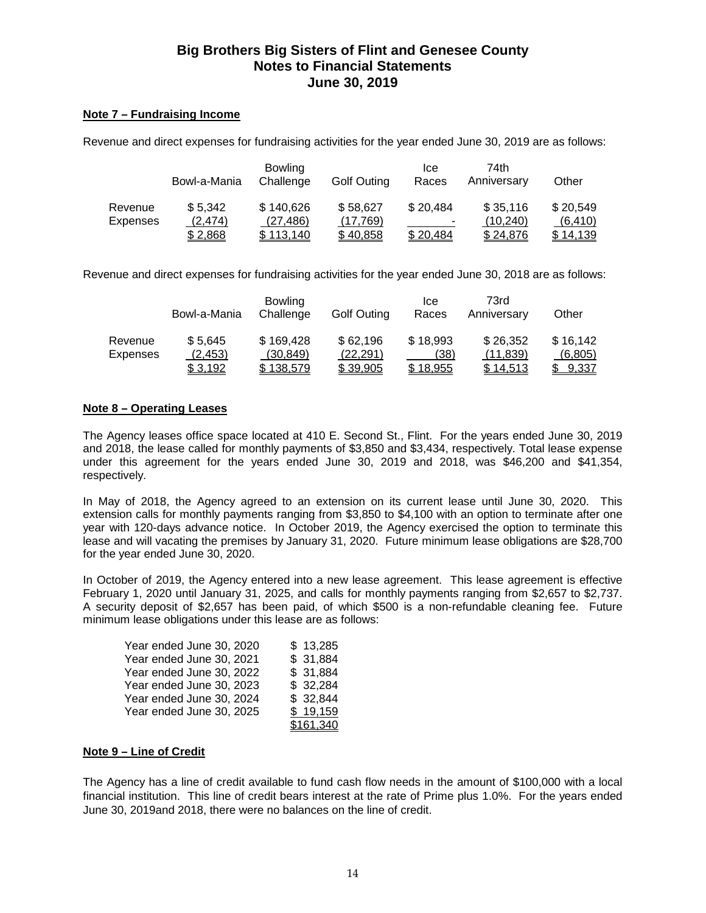# **Note 7 – Fundraising Income**

Revenue and direct expenses for fundraising activities for the year ended June 30, 2019 are as follows:

|          | Bowl-a-Mania | <b>Bowling</b><br>Challenge | <b>Golf Outing</b> | Ice<br>Races   | 74th<br>Anniversary | Other    |
|----------|--------------|-----------------------------|--------------------|----------------|---------------------|----------|
| Revenue  | \$5,342      | \$140,626                   | \$58,627           | \$20,484       | \$35,116            | \$20,549 |
| Expenses | (2, 474)     | (27, 486)                   | (17,769)           | $\blacksquare$ | (10, 240)           | (6, 410) |
|          | \$2,868      | \$113,140                   | \$40,858           | \$20,484       | \$24,876            | \$14,139 |

Revenue and direct expenses for fundraising activities for the year ended June 30, 2018 are as follows:

|                     | Bowl-a-Mania        | <b>Bowling</b><br>Challenge | <b>Golf Outing</b>    | Ice<br>Races     | 73rd<br>Anniversary   | Other               |
|---------------------|---------------------|-----------------------------|-----------------------|------------------|-----------------------|---------------------|
| Revenue<br>Expenses | \$5.645<br>(2, 453) | \$169,428<br>(30, 849)      | \$62,196<br>(22, 291) | \$18,993<br>(38) | \$26,352<br>(11, 839) | \$16,142<br>(6,805) |
|                     | \$ 3,192            | \$138,579                   | \$39,905              | \$18,955         | \$14,513              | 9,337               |

# **Note 8 – Operating Leases**

The Agency leases office space located at 410 E. Second St., Flint. For the years ended June 30, 2019 and 2018, the lease called for monthly payments of \$3,850 and \$3,434, respectively. Total lease expense under this agreement for the years ended June 30, 2019 and 2018, was \$46,200 and \$41,354, respectively.

In May of 2018, the Agency agreed to an extension on its current lease until June 30, 2020. This extension calls for monthly payments ranging from \$3,850 to \$4,100 with an option to terminate after one year with 120-days advance notice. In October 2019, the Agency exercised the option to terminate this lease and will vacating the premises by January 31, 2020. Future minimum lease obligations are \$28,700 for the year ended June 30, 2020.

In October of 2019, the Agency entered into a new lease agreement. This lease agreement is effective February 1, 2020 until January 31, 2025, and calls for monthly payments ranging from \$2,657 to \$2,737. A security deposit of \$2,657 has been paid, of which \$500 is a non-refundable cleaning fee. Future minimum lease obligations under this lease are as follows:

| Year ended June 30, 2020 | \$13,285  |
|--------------------------|-----------|
| Year ended June 30, 2021 | \$31,884  |
| Year ended June 30, 2022 | \$31,884  |
| Year ended June 30, 2023 | \$32,284  |
| Year ended June 30, 2024 | \$32,844  |
| Year ended June 30, 2025 | \$19,159  |
|                          | \$161,340 |

## **Note 9 – Line of Credit**

The Agency has a line of credit available to fund cash flow needs in the amount of \$100,000 with a local financial institution. This line of credit bears interest at the rate of Prime plus 1.0%. For the years ended June 30, 2019and 2018, there were no balances on the line of credit.